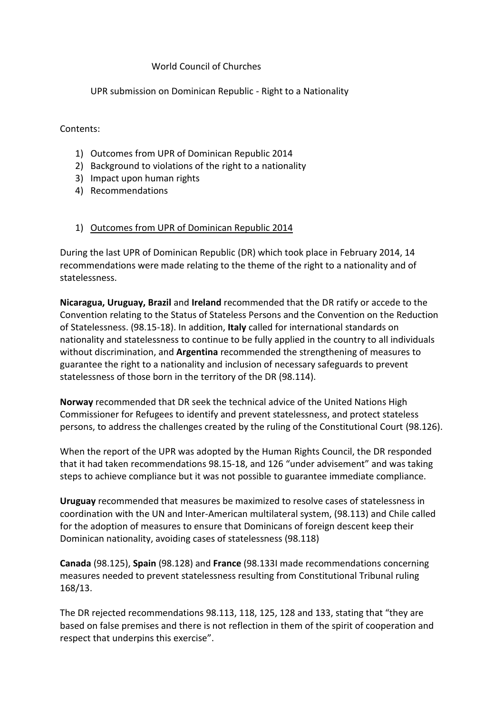#### World Council of Churches

UPR submission on Dominican Republic - Right to a Nationality

Contents:

- 1) Outcomes from UPR of Dominican Republic 2014
- 2) Background to violations of the right to a nationality
- 3) Impact upon human rights
- 4) Recommendations

#### 1) Outcomes from UPR of Dominican Republic 2014

During the last UPR of Dominican Republic (DR) which took place in February 2014, 14 recommendations were made relating to the theme of the right to a nationality and of statelessness.

**Nicaragua, Uruguay, Brazil** and **Ireland** recommended that the DR ratify or accede to the Convention relating to the Status of Stateless Persons and the Convention on the Reduction of Statelessness. (98.15-18). In addition, **Italy** called for international standards on nationality and statelessness to continue to be fully applied in the country to all individuals without discrimination, and **Argentina** recommended the strengthening of measures to guarantee the right to a nationality and inclusion of necessary safeguards to prevent statelessness of those born in the territory of the DR (98.114).

**Norway** recommended that DR seek the technical advice of the United Nations High Commissioner for Refugees to identify and prevent statelessness, and protect stateless persons, to address the challenges created by the ruling of the Constitutional Court (98.126).

When the report of the UPR was adopted by the Human Rights Council, the DR responded that it had taken recommendations 98.15-18, and 126 "under advisement" and was taking steps to achieve compliance but it was not possible to guarantee immediate compliance.

**Uruguay** recommended that measures be maximized to resolve cases of statelessness in coordination with the UN and Inter-American multilateral system, (98.113) and Chile called for the adoption of measures to ensure that Dominicans of foreign descent keep their Dominican nationality, avoiding cases of statelessness (98.118)

**Canada** (98.125), **Spain** (98.128) and **France** (98.133I made recommendations concerning measures needed to prevent statelessness resulting from Constitutional Tribunal ruling 168/13.

The DR rejected recommendations 98.113, 118, 125, 128 and 133, stating that "they are based on false premises and there is not reflection in them of the spirit of cooperation and respect that underpins this exercise".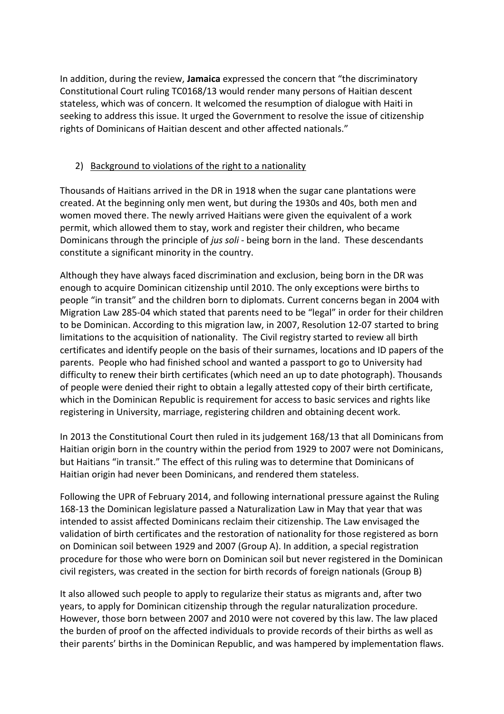In addition, during the review, **Jamaica** expressed the concern that "the discriminatory Constitutional Court ruling TC0168/13 would render many persons of Haitian descent stateless, which was of concern. It welcomed the resumption of dialogue with Haiti in seeking to address this issue. It urged the Government to resolve the issue of citizenship rights of Dominicans of Haitian descent and other affected nationals."

## 2) Background to violations of the right to a nationality

Thousands of Haitians arrived in the DR in 1918 when the sugar cane plantations were created. At the beginning only men went, but during the 1930s and 40s, both men and women moved there. The newly arrived Haitians were given the equivalent of a work permit, which allowed them to stay, work and register their children, who became Dominicans through the principle of *jus soli* - being born in the land. These descendants constitute a significant minority in the country.

Although they have always faced discrimination and exclusion, being born in the DR was enough to acquire Dominican citizenship until 2010. The only exceptions were births to people "in transit" and the children born to diplomats. Current concerns began in 2004 with Migration Law 285-04 which stated that parents need to be "legal" in order for their children to be Dominican. According to this migration law, in 2007, Resolution 12-07 started to bring limitations to the acquisition of nationality. The Civil registry started to review all birth certificates and identify people on the basis of their surnames, locations and ID papers of the parents. People who had finished school and wanted a passport to go to University had difficulty to renew their birth certificates (which need an up to date photograph). Thousands of people were denied their right to obtain a legally attested copy of their birth certificate, which in the Dominican Republic is requirement for access to basic services and rights like registering in University, marriage, registering children and obtaining decent work.

In 2013 the Constitutional Court then ruled in its judgement 168/13 that all Dominicans from Haitian origin born in the country within the period from 1929 to 2007 were not Dominicans, but Haitians "in transit." The effect of this ruling was to determine that Dominicans of Haitian origin had never been Dominicans, and rendered them stateless.

Following the UPR of February 2014, and following international pressure against the Ruling 168-13 the Dominican legislature passed a Naturalization Law in May that year that was intended to assist affected Dominicans reclaim their citizenship. The Law envisaged the validation of birth certificates and the restoration of nationality for those registered as born on Dominican soil between 1929 and 2007 (Group A). In addition, a special registration procedure for those who were born on Dominican soil but never registered in the Dominican civil registers, was created in the section for birth records of foreign nationals (Group B)

It also allowed such people to apply to regularize their status as migrants and, after two years, to apply for Dominican citizenship through the regular naturalization procedure. However, those born between 2007 and 2010 were not covered by this law. The law placed the burden of proof on the affected individuals to provide records of their births as well as their parents' births in the Dominican Republic, and was hampered by implementation flaws.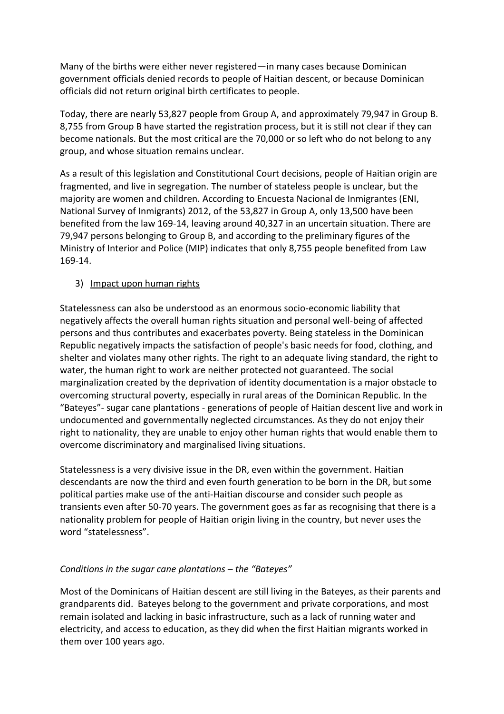Many of the births were either never registered—in many cases because Dominican government officials denied records to people of Haitian descent, or because Dominican officials did not return original birth certificates to people.

Today, there are nearly 53,827 people from Group A, and approximately 79,947 in Group B. 8,755 from Group B have started the registration process, but it is still not clear if they can become nationals. But the most critical are the 70,000 or so left who do not belong to any group, and whose situation remains unclear.

As a result of this legislation and Constitutional Court decisions, people of Haitian origin are fragmented, and live in segregation. The number of stateless people is unclear, but the majority are women and children. According to Encuesta Nacional de Inmigrantes (ENI, National Survey of Inmigrants) 2012, of the 53,827 in Group A, only 13,500 have been benefited from the law 169-14, leaving around 40,327 in an uncertain situation. There are 79,947 persons belonging to Group B, and according to the preliminary figures of the Ministry of Interior and Police (MIP) indicates that only 8,755 people benefited from Law 169-14.

#### 3) Impact upon human rights

Statelessness can also be understood as an enormous socio-economic liability that negatively affects the overall human rights situation and personal well-being of affected persons and thus contributes and exacerbates poverty. Being stateless in the Dominican Republic negatively impacts the satisfaction of people's basic needs for food, clothing, and shelter and violates many other rights. The right to an adequate living standard, the right to water, the human right to work are neither protected not guaranteed. The social marginalization created by the deprivation of identity documentation is a major obstacle to overcoming structural poverty, especially in rural areas of the Dominican Republic. In the "Bateyes"- sugar cane plantations - generations of people of Haitian descent live and work in undocumented and governmentally neglected circumstances. As they do not enjoy their right to nationality, they are unable to enjoy other human rights that would enable them to overcome discriminatory and marginalised living situations.

Statelessness is a very divisive issue in the DR, even within the government. Haitian descendants are now the third and even fourth generation to be born in the DR, but some political parties make use of the anti-Haitian discourse and consider such people as transients even after 50-70 years. The government goes as far as recognising that there is a nationality problem for people of Haitian origin living in the country, but never uses the word "statelessness".

# *Conditions in the sugar cane plantations – the "Bateyes"*

Most of the Dominicans of Haitian descent are still living in the Bateyes, as their parents and grandparents did. Bateyes belong to the government and private corporations, and most remain isolated and lacking in basic infrastructure, such as a lack of running water and electricity, and access to education, as they did when the first Haitian migrants worked in them over 100 years ago.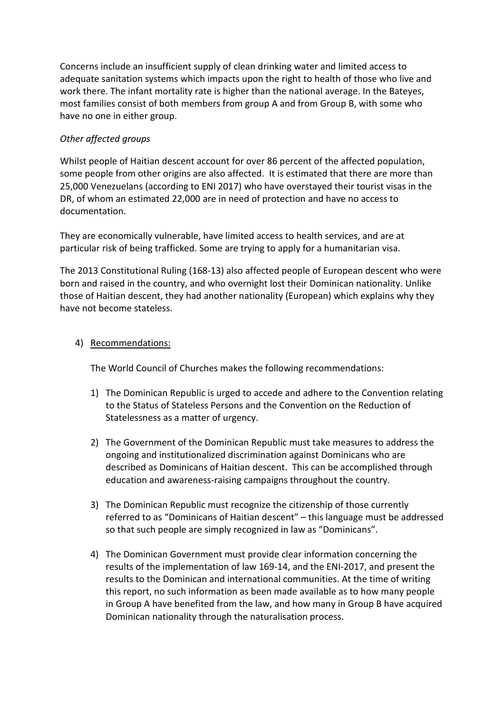Concerns include an insufficient supply of clean drinking water and limited access to adequate sanitation systems which impacts upon the right to health of those who live and work there. The infant mortality rate is higher than the national average. In the Bateyes, most families consist of both members from group A and from Group B, with some who have no one in either group.

### *Other affected groups*

Whilst people of Haitian descent account for over 86 percent of the affected population, some people from other origins are also affected. It is estimated that there are more than 25,000 Venezuelans (according to ENI 2017) who have overstayed their tourist visas in the DR, of whom an estimated 22,000 are in need of protection and have no access to documentation.

They are economically vulnerable, have limited access to health services, and are at particular risk of being trafficked. Some are trying to apply for a humanitarian visa.

The 2013 Constitutional Ruling (168-13) also affected people of European descent who were born and raised in the country, and who overnight lost their Dominican nationality. Unlike those of Haitian descent, they had another nationality (European) which explains why they have not become stateless.

#### 4) Recommendations:

The World Council of Churches makes the following recommendations:

- 1) The Dominican Republic is urged to accede and adhere to the Convention relating to the Status of Stateless Persons and the Convention on the Reduction of Statelessness as a matter of urgency.
- 2) The Government of the Dominican Republic must take measures to address the ongoing and institutionalized discrimination against Dominicans who are described as Dominicans of Haitian descent. This can be accomplished through education and awareness-raising campaigns throughout the country.
- 3) The Dominican Republic must recognize the citizenship of those currently referred to as "Dominicans of Haitian descent" – this language must be addressed so that such people are simply recognized in law as "Dominicans".
- 4) The Dominican Government must provide clear information concerning the results of the implementation of law 169-14, and the ENI-2017, and present the results to the Dominican and international communities. At the time of writing this report, no such information as been made available as to how many people in Group A have benefited from the law, and how many in Group B have acquired Dominican nationality through the naturalisation process.